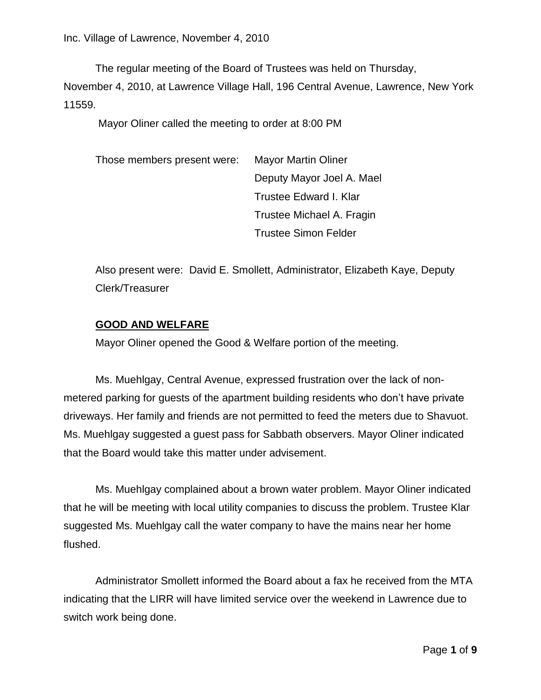The regular meeting of the Board of Trustees was held on Thursday,

November 4, 2010, at Lawrence Village Hall, 196 Central Avenue, Lawrence, New York 11559.

Mayor Oliner called the meeting to order at 8:00 PM

Those members present were: Mayor Martin Oliner Deputy Mayor Joel A. Mael Trustee Edward I. Klar Trustee Michael A. Fragin Trustee Simon Felder

Also present were: David E. Smollett, Administrator, Elizabeth Kaye, Deputy Clerk/Treasurer

# **GOOD AND WELFARE**

Mayor Oliner opened the Good & Welfare portion of the meeting.

Ms. Muehlgay, Central Avenue, expressed frustration over the lack of nonmetered parking for guests of the apartment building residents who don't have private driveways. Her family and friends are not permitted to feed the meters due to Shavuot. Ms. Muehlgay suggested a guest pass for Sabbath observers. Mayor Oliner indicated that the Board would take this matter under advisement.

Ms. Muehlgay complained about a brown water problem. Mayor Oliner indicated that he will be meeting with local utility companies to discuss the problem. Trustee Klar suggested Ms. Muehlgay call the water company to have the mains near her home flushed.

Administrator Smollett informed the Board about a fax he received from the MTA indicating that the LIRR will have limited service over the weekend in Lawrence due to switch work being done.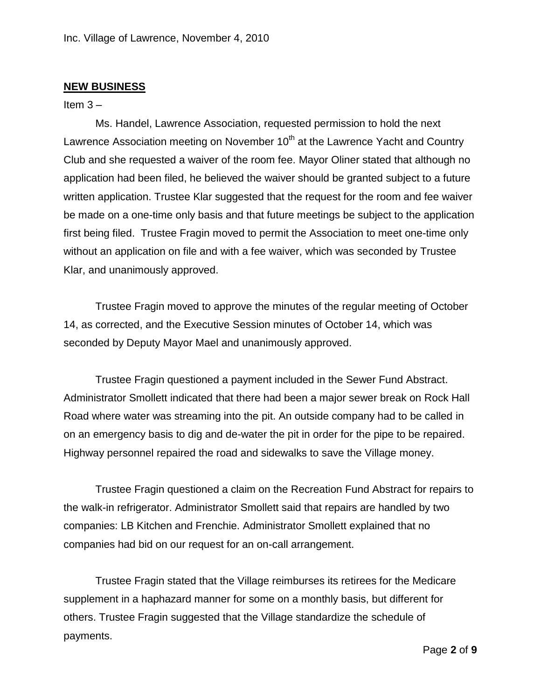# **NEW BUSINESS**

#### Item  $3 -$

Ms. Handel, Lawrence Association, requested permission to hold the next Lawrence Association meeting on November  $10<sup>th</sup>$  at the Lawrence Yacht and Country Club and she requested a waiver of the room fee. Mayor Oliner stated that although no application had been filed, he believed the waiver should be granted subject to a future written application. Trustee Klar suggested that the request for the room and fee waiver be made on a one-time only basis and that future meetings be subject to the application first being filed. Trustee Fragin moved to permit the Association to meet one-time only without an application on file and with a fee waiver, which was seconded by Trustee Klar, and unanimously approved.

Trustee Fragin moved to approve the minutes of the regular meeting of October 14, as corrected, and the Executive Session minutes of October 14, which was seconded by Deputy Mayor Mael and unanimously approved.

Trustee Fragin questioned a payment included in the Sewer Fund Abstract. Administrator Smollett indicated that there had been a major sewer break on Rock Hall Road where water was streaming into the pit. An outside company had to be called in on an emergency basis to dig and de-water the pit in order for the pipe to be repaired. Highway personnel repaired the road and sidewalks to save the Village money.

Trustee Fragin questioned a claim on the Recreation Fund Abstract for repairs to the walk-in refrigerator. Administrator Smollett said that repairs are handled by two companies: LB Kitchen and Frenchie. Administrator Smollett explained that no companies had bid on our request for an on-call arrangement.

Trustee Fragin stated that the Village reimburses its retirees for the Medicare supplement in a haphazard manner for some on a monthly basis, but different for others. Trustee Fragin suggested that the Village standardize the schedule of payments.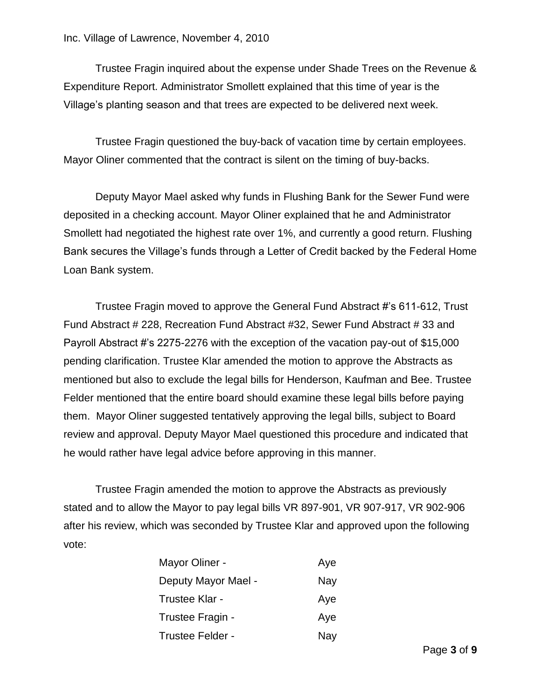Trustee Fragin inquired about the expense under Shade Trees on the Revenue & Expenditure Report. Administrator Smollett explained that this time of year is the Village's planting season and that trees are expected to be delivered next week.

Trustee Fragin questioned the buy-back of vacation time by certain employees. Mayor Oliner commented that the contract is silent on the timing of buy-backs.

Deputy Mayor Mael asked why funds in Flushing Bank for the Sewer Fund were deposited in a checking account. Mayor Oliner explained that he and Administrator Smollett had negotiated the highest rate over 1%, and currently a good return. Flushing Bank secures the Village's funds through a Letter of Credit backed by the Federal Home Loan Bank system.

Trustee Fragin moved to approve the General Fund Abstract #'s 611-612, Trust Fund Abstract # 228, Recreation Fund Abstract #32, Sewer Fund Abstract # 33 and Payroll Abstract #'s 2275-2276 with the exception of the vacation pay-out of \$15,000 pending clarification. Trustee Klar amended the motion to approve the Abstracts as mentioned but also to exclude the legal bills for Henderson, Kaufman and Bee. Trustee Felder mentioned that the entire board should examine these legal bills before paying them. Mayor Oliner suggested tentatively approving the legal bills, subject to Board review and approval. Deputy Mayor Mael questioned this procedure and indicated that he would rather have legal advice before approving in this manner.

Trustee Fragin amended the motion to approve the Abstracts as previously stated and to allow the Mayor to pay legal bills VR 897-901, VR 907-917, VR 902-906 after his review, which was seconded by Trustee Klar and approved upon the following vote:

| Mayor Oliner -      | Aye |
|---------------------|-----|
| Deputy Mayor Mael - | Nay |
| Trustee Klar -      | Aye |
| Trustee Fragin -    | Aye |
| Trustee Felder -    | Nay |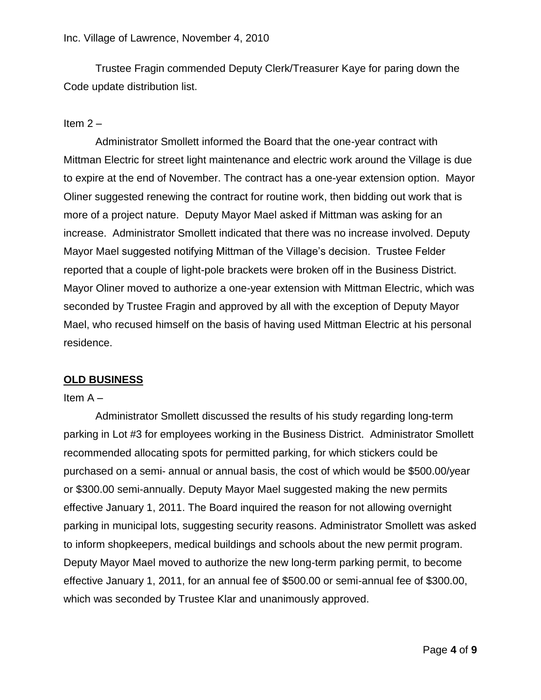Trustee Fragin commended Deputy Clerk/Treasurer Kaye for paring down the Code update distribution list.

# Item  $2 -$

Administrator Smollett informed the Board that the one-year contract with Mittman Electric for street light maintenance and electric work around the Village is due to expire at the end of November. The contract has a one-year extension option. Mayor Oliner suggested renewing the contract for routine work, then bidding out work that is more of a project nature. Deputy Mayor Mael asked if Mittman was asking for an increase. Administrator Smollett indicated that there was no increase involved. Deputy Mayor Mael suggested notifying Mittman of the Village's decision. Trustee Felder reported that a couple of light-pole brackets were broken off in the Business District. Mayor Oliner moved to authorize a one-year extension with Mittman Electric, which was seconded by Trustee Fragin and approved by all with the exception of Deputy Mayor Mael, who recused himself on the basis of having used Mittman Electric at his personal residence.

# **OLD BUSINESS**

### Item A –

Administrator Smollett discussed the results of his study regarding long-term parking in Lot #3 for employees working in the Business District. Administrator Smollett recommended allocating spots for permitted parking, for which stickers could be purchased on a semi- annual or annual basis, the cost of which would be \$500.00/year or \$300.00 semi-annually. Deputy Mayor Mael suggested making the new permits effective January 1, 2011. The Board inquired the reason for not allowing overnight parking in municipal lots, suggesting security reasons. Administrator Smollett was asked to inform shopkeepers, medical buildings and schools about the new permit program. Deputy Mayor Mael moved to authorize the new long-term parking permit, to become effective January 1, 2011, for an annual fee of \$500.00 or semi-annual fee of \$300.00, which was seconded by Trustee Klar and unanimously approved.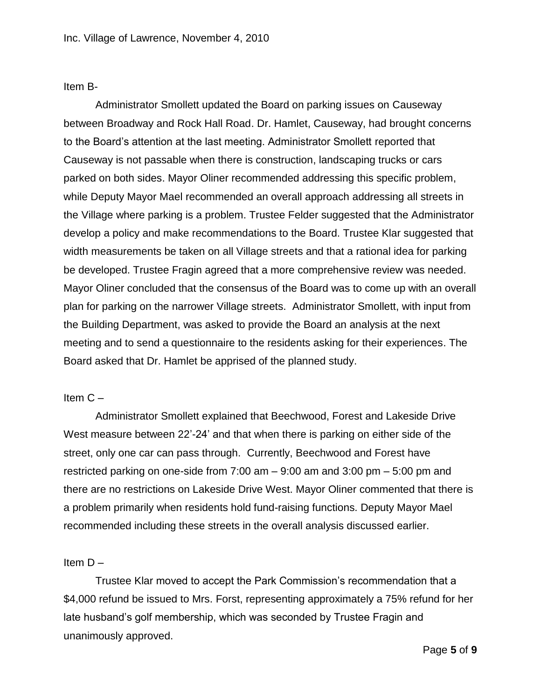Item B-

Administrator Smollett updated the Board on parking issues on Causeway between Broadway and Rock Hall Road. Dr. Hamlet, Causeway, had brought concerns to the Board's attention at the last meeting. Administrator Smollett reported that Causeway is not passable when there is construction, landscaping trucks or cars parked on both sides. Mayor Oliner recommended addressing this specific problem, while Deputy Mayor Mael recommended an overall approach addressing all streets in the Village where parking is a problem. Trustee Felder suggested that the Administrator develop a policy and make recommendations to the Board. Trustee Klar suggested that width measurements be taken on all Village streets and that a rational idea for parking be developed. Trustee Fragin agreed that a more comprehensive review was needed. Mayor Oliner concluded that the consensus of the Board was to come up with an overall plan for parking on the narrower Village streets. Administrator Smollett, with input from the Building Department, was asked to provide the Board an analysis at the next meeting and to send a questionnaire to the residents asking for their experiences. The Board asked that Dr. Hamlet be apprised of the planned study.

### Item C –

Administrator Smollett explained that Beechwood, Forest and Lakeside Drive West measure between 22'-24' and that when there is parking on either side of the street, only one car can pass through. Currently, Beechwood and Forest have restricted parking on one-side from 7:00 am – 9:00 am and 3:00 pm – 5:00 pm and there are no restrictions on Lakeside Drive West. Mayor Oliner commented that there is a problem primarily when residents hold fund-raising functions. Deputy Mayor Mael recommended including these streets in the overall analysis discussed earlier.

### Item  $D -$

Trustee Klar moved to accept the Park Commission's recommendation that a \$4,000 refund be issued to Mrs. Forst, representing approximately a 75% refund for her late husband's golf membership, which was seconded by Trustee Fragin and unanimously approved.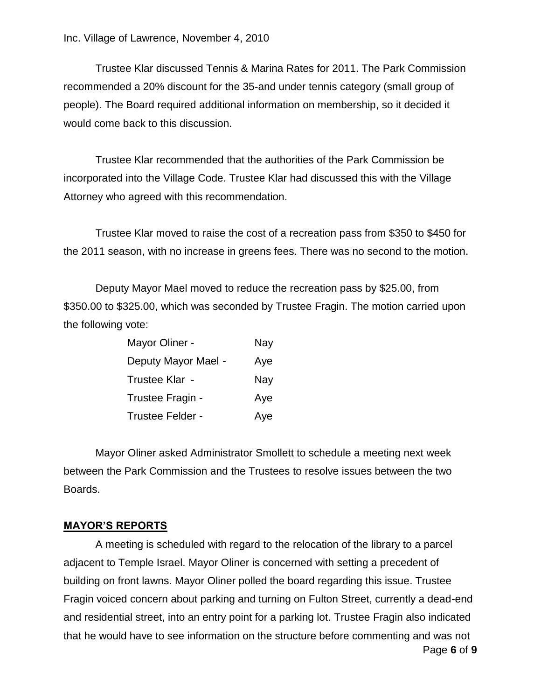Trustee Klar discussed Tennis & Marina Rates for 2011. The Park Commission recommended a 20% discount for the 35-and under tennis category (small group of people). The Board required additional information on membership, so it decided it would come back to this discussion.

Trustee Klar recommended that the authorities of the Park Commission be incorporated into the Village Code. Trustee Klar had discussed this with the Village Attorney who agreed with this recommendation.

Trustee Klar moved to raise the cost of a recreation pass from \$350 to \$450 for the 2011 season, with no increase in greens fees. There was no second to the motion.

Deputy Mayor Mael moved to reduce the recreation pass by \$25.00, from \$350.00 to \$325.00, which was seconded by Trustee Fragin. The motion carried upon the following vote:

| Mayor Oliner -      | Nay |
|---------------------|-----|
| Deputy Mayor Mael - | Aye |
| Trustee Klar -      | Nay |
| Trustee Fragin -    | Aye |
| Trustee Felder -    | Aye |

Mayor Oliner asked Administrator Smollett to schedule a meeting next week between the Park Commission and the Trustees to resolve issues between the two Boards.

#### **MAYOR'S REPORTS**

Page **6** of **9** A meeting is scheduled with regard to the relocation of the library to a parcel adjacent to Temple Israel. Mayor Oliner is concerned with setting a precedent of building on front lawns. Mayor Oliner polled the board regarding this issue. Trustee Fragin voiced concern about parking and turning on Fulton Street, currently a dead-end and residential street, into an entry point for a parking lot. Trustee Fragin also indicated that he would have to see information on the structure before commenting and was not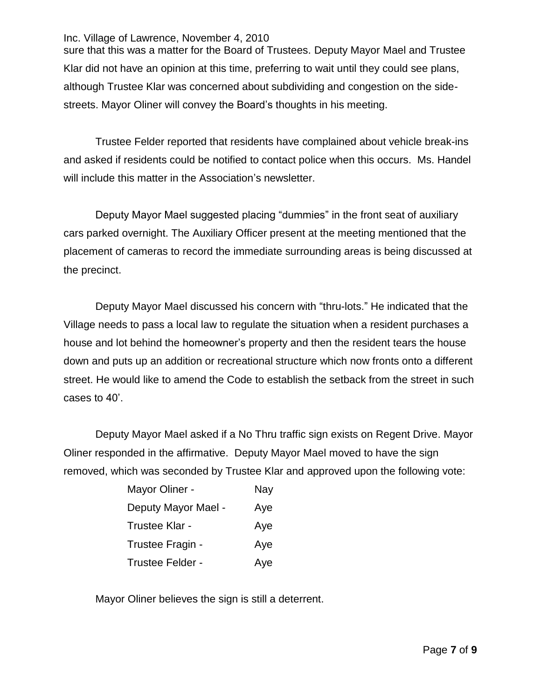sure that this was a matter for the Board of Trustees. Deputy Mayor Mael and Trustee Klar did not have an opinion at this time, preferring to wait until they could see plans, although Trustee Klar was concerned about subdividing and congestion on the sidestreets. Mayor Oliner will convey the Board's thoughts in his meeting.

Trustee Felder reported that residents have complained about vehicle break-ins and asked if residents could be notified to contact police when this occurs. Ms. Handel will include this matter in the Association's newsletter.

Deputy Mayor Mael suggested placing "dummies" in the front seat of auxiliary cars parked overnight. The Auxiliary Officer present at the meeting mentioned that the placement of cameras to record the immediate surrounding areas is being discussed at the precinct.

Deputy Mayor Mael discussed his concern with "thru-lots." He indicated that the Village needs to pass a local law to regulate the situation when a resident purchases a house and lot behind the homeowner's property and then the resident tears the house down and puts up an addition or recreational structure which now fronts onto a different street. He would like to amend the Code to establish the setback from the street in such cases to 40'.

Deputy Mayor Mael asked if a No Thru traffic sign exists on Regent Drive. Mayor Oliner responded in the affirmative. Deputy Mayor Mael moved to have the sign removed, which was seconded by Trustee Klar and approved upon the following vote:

| Mayor Oliner -      | Nay |
|---------------------|-----|
| Deputy Mayor Mael - | Aye |
| Trustee Klar -      | Aye |
| Trustee Fragin -    | Aye |
| Trustee Felder -    | Aye |

Mayor Oliner believes the sign is still a deterrent.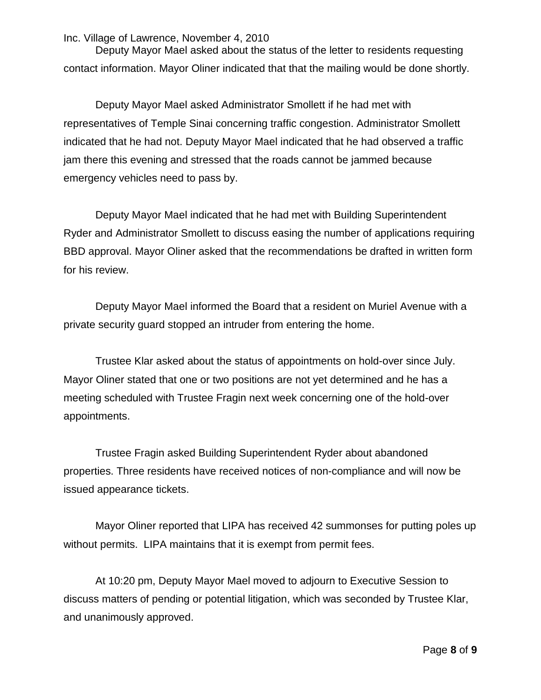Deputy Mayor Mael asked about the status of the letter to residents requesting contact information. Mayor Oliner indicated that that the mailing would be done shortly.

Deputy Mayor Mael asked Administrator Smollett if he had met with representatives of Temple Sinai concerning traffic congestion. Administrator Smollett indicated that he had not. Deputy Mayor Mael indicated that he had observed a traffic jam there this evening and stressed that the roads cannot be jammed because emergency vehicles need to pass by.

Deputy Mayor Mael indicated that he had met with Building Superintendent Ryder and Administrator Smollett to discuss easing the number of applications requiring BBD approval. Mayor Oliner asked that the recommendations be drafted in written form for his review.

Deputy Mayor Mael informed the Board that a resident on Muriel Avenue with a private security guard stopped an intruder from entering the home.

Trustee Klar asked about the status of appointments on hold-over since July. Mayor Oliner stated that one or two positions are not yet determined and he has a meeting scheduled with Trustee Fragin next week concerning one of the hold-over appointments.

Trustee Fragin asked Building Superintendent Ryder about abandoned properties. Three residents have received notices of non-compliance and will now be issued appearance tickets.

Mayor Oliner reported that LIPA has received 42 summonses for putting poles up without permits. LIPA maintains that it is exempt from permit fees.

At 10:20 pm, Deputy Mayor Mael moved to adjourn to Executive Session to discuss matters of pending or potential litigation, which was seconded by Trustee Klar, and unanimously approved.